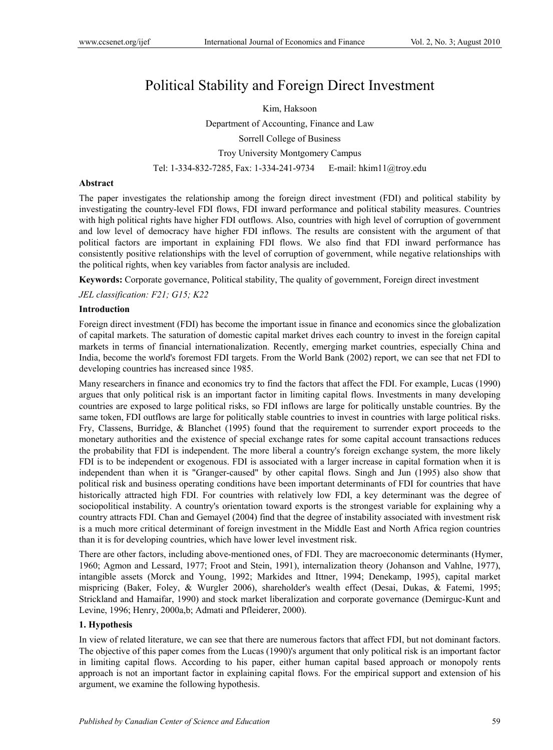# Political Stability and Foreign Direct Investment

Kim, Haksoon Department of Accounting, Finance and Law Sorrell College of Business Troy University Montgomery Campus Tel: 1-334-832-7285, Fax: 1-334-241-9734 E-mail: hkim11@troy.edu

# **Abstract**

The paper investigates the relationship among the foreign direct investment (FDI) and political stability by investigating the country-level FDI flows, FDI inward performance and political stability measures. Countries with high political rights have higher FDI outflows. Also, countries with high level of corruption of government and low level of democracy have higher FDI inflows. The results are consistent with the argument of that political factors are important in explaining FDI flows. We also find that FDI inward performance has consistently positive relationships with the level of corruption of government, while negative relationships with the political rights, when key variables from factor analysis are included.

**Keywords:** Corporate governance, Political stability, The quality of government, Foreign direct investment

*JEL classification: F21; G15; K22* 

# **Introduction**

Foreign direct investment (FDI) has become the important issue in finance and economics since the globalization of capital markets. The saturation of domestic capital market drives each country to invest in the foreign capital markets in terms of financial internationalization. Recently, emerging market countries, especially China and India, become the world's foremost FDI targets. From the World Bank (2002) report, we can see that net FDI to developing countries has increased since 1985.

Many researchers in finance and economics try to find the factors that affect the FDI. For example, Lucas (1990) argues that only political risk is an important factor in limiting capital flows. Investments in many developing countries are exposed to large political risks, so FDI inflows are large for politically unstable countries. By the same token, FDI outflows are large for politically stable countries to invest in countries with large political risks. Fry, Classens, Burridge, & Blanchet (1995) found that the requirement to surrender export proceeds to the monetary authorities and the existence of special exchange rates for some capital account transactions reduces the probability that FDI is independent. The more liberal a country's foreign exchange system, the more likely FDI is to be independent or exogenous. FDI is associated with a larger increase in capital formation when it is independent than when it is "Granger-caused" by other capital flows. Singh and Jun (1995) also show that political risk and business operating conditions have been important determinants of FDI for countries that have historically attracted high FDI. For countries with relatively low FDI, a key determinant was the degree of sociopolitical instability. A country's orientation toward exports is the strongest variable for explaining why a country attracts FDI. Chan and Gemayel (2004) find that the degree of instability associated with investment risk is a much more critical determinant of foreign investment in the Middle East and North Africa region countries than it is for developing countries, which have lower level investment risk.

There are other factors, including above-mentioned ones, of FDI. They are macroeconomic determinants (Hymer, 1960; Agmon and Lessard, 1977; Froot and Stein, 1991), internalization theory (Johanson and Vahlne, 1977), intangible assets (Morck and Young, 1992; Markides and Ittner, 1994; Denekamp, 1995), capital market mispricing (Baker, Foley, & Wurgler 2006), shareholder's wealth effect (Desai, Dukas, & Fatemi, 1995; Strickland and Hamaifar, 1990) and stock market liberalization and corporate governance (Demirguc-Kunt and Levine, 1996; Henry, 2000a,b; Admati and Pfleiderer, 2000).

# **1. Hypothesis**

In view of related literature, we can see that there are numerous factors that affect FDI, but not dominant factors. The objective of this paper comes from the Lucas (1990)'s argument that only political risk is an important factor in limiting capital flows. According to his paper, either human capital based approach or monopoly rents approach is not an important factor in explaining capital flows. For the empirical support and extension of his argument, we examine the following hypothesis.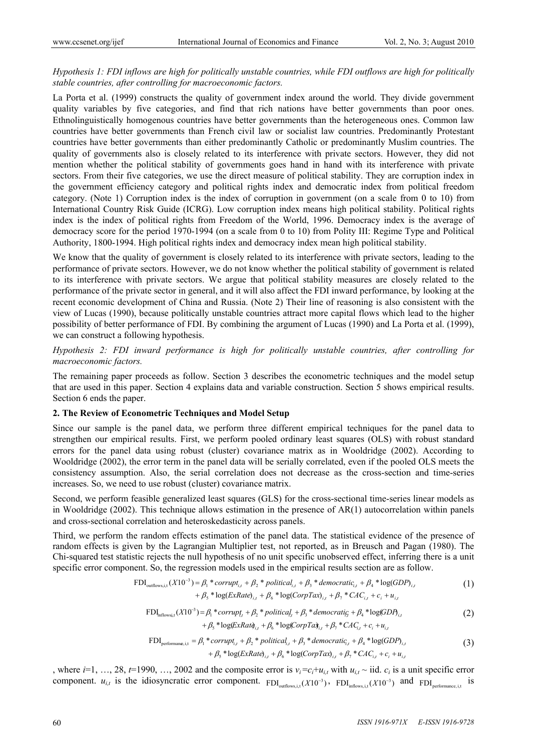# *Hypothesis 1: FDI inflows are high for politically unstable countries, while FDI outflows are high for politically stable countries, after controlling for macroeconomic factors.*

La Porta et al. (1999) constructs the quality of government index around the world. They divide government quality variables by five categories, and find that rich nations have better governments than poor ones. Ethnolinguistically homogenous countries have better governments than the heterogeneous ones. Common law countries have better governments than French civil law or socialist law countries. Predominantly Protestant countries have better governments than either predominantly Catholic or predominantly Muslim countries. The quality of governments also is closely related to its interference with private sectors. However, they did not mention whether the political stability of governments goes hand in hand with its interference with private sectors. From their five categories, we use the direct measure of political stability. They are corruption index in the government efficiency category and political rights index and democratic index from political freedom category. (Note 1) Corruption index is the index of corruption in government (on a scale from 0 to 10) from International Country Risk Guide (ICRG). Low corruption index means high political stability. Political rights index is the index of political rights from Freedom of the World, 1996. Democracy index is the average of democracy score for the period 1970-1994 (on a scale from 0 to 10) from Polity III: Regime Type and Political Authority, 1800-1994. High political rights index and democracy index mean high political stability.

We know that the quality of government is closely related to its interference with private sectors, leading to the performance of private sectors. However, we do not know whether the political stability of government is related to its interference with private sectors. We argue that political stability measures are closely related to the performance of the private sector in general, and it will also affect the FDI inward performance, by looking at the recent economic development of China and Russia. (Note 2) Their line of reasoning is also consistent with the view of Lucas (1990), because politically unstable countries attract more capital flows which lead to the higher possibility of better performance of FDI. By combining the argument of Lucas (1990) and La Porta et al. (1999), we can construct a following hypothesis.

# *Hypothesis 2: FDI inward performance is high for politically unstable countries, after controlling for macroeconomic factors.*

The remaining paper proceeds as follow. Section 3 describes the econometric techniques and the model setup that are used in this paper. Section 4 explains data and variable construction. Section 5 shows empirical results. Section 6 ends the paper.

# **2. The Review of Econometric Techniques and Model Setup**

Since our sample is the panel data, we perform three different empirical techniques for the panel data to strengthen our empirical results. First, we perform pooled ordinary least squares (OLS) with robust standard errors for the panel data using robust (cluster) covariance matrix as in Wooldridge (2002). According to Wooldridge (2002), the error term in the panel data will be serially correlated, even if the pooled OLS meets the consistency assumption. Also, the serial correlation does not decrease as the cross-section and time-series increases. So, we need to use robust (cluster) covariance matrix.

Second, we perform feasible generalized least squares (GLS) for the cross-sectional time-series linear models as in Wooldridge (2002). This technique allows estimation in the presence of AR(1) autocorrelation within panels and cross-sectional correlation and heteroskedasticity across panels.

Third, we perform the random effects estimation of the panel data. The statistical evidence of the presence of random effects is given by the Lagrangian Multiplier test, not reported, as in Breusch and Pagan (1980). The Chi-squared test statistic rejects the null hypothesis of no unit specific unobserved effect, inferring there is a unit specific error component. So, the regression models used in the empirical results section are as follow.

$$
\text{FDI}_{\text{outflows},i,t}(X10^{-3}) = \beta_1 * corrupt_{i,t} + \beta_2 * political_{i,t} + \beta_3 * democratic_{i,t} + \beta_4 * log(GDP)_{i,t} + \beta_5 * log(ExRate)_{i,t} + \beta_6 * log(CorpTax)_{i,t} + \beta_7 * CAC_{i,t} + c_i + u_{i,t}
$$
\n(1)

$$
\text{FDI}_{\text{inflowsi,t}}(X10^{-3}) = \beta_1 \cdot \text{corrupt}_t + \beta_2 \cdot \text{political}_t + \beta_3 \cdot \text{democratic}_t + \beta_4 \cdot \log(GDP_{t,t}) + \beta_5 \cdot \log(\text{ExRat}_{t,t} + \beta_6 \cdot \log(\text{CorpTat}_{t,t} + \beta_7 \cdot \text{CAC}_{t,t} + c_t + u_{t,t})
$$
\n
$$
(2)
$$

$$
\text{FDI}_{\text{performance,i,t}} = \beta_1 * corrupt_{i,t} + \beta_2 * political_{i,t} + \beta_3 * democratic_{i,t} + \beta_4 * log(GDP)_{i,t} + \beta_5 * log(ExRate)_{i,t} + \beta_6 * log(Corp Tax)_{i,t} + \beta_7 * CAC_{i,t} + c_i + u_{i,t}
$$
\n(3)

, where  $i=1, ..., 28, t=1990, ..., 2002$  and the composite error is  $v_i = c_i + u_{i,t}$  with  $u_{i,t} \sim$  iid.  $c_i$  is a unit specific error component.  $u_{i,t}$  is the idiosyncratic error component.  $FDI_{\text{outflows},i,t}(X10^{-3})$ ,  $FDI_{\text{inflows},i,t}(X10^{-3})$  and  $FDI_{\text{performance},i,t}$  is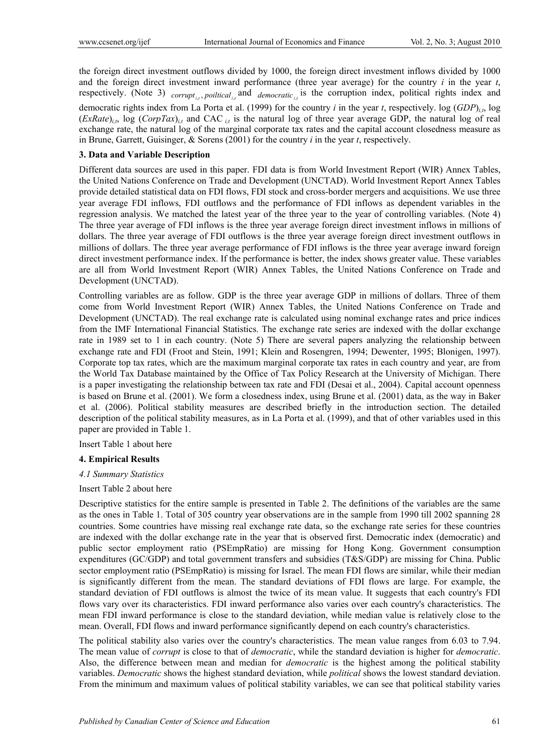the foreign direct investment outflows divided by 1000, the foreign direct investment inflows divided by 1000 and the foreign direct investment inward performance (three year average) for the country *i* in the year *t*, respectively. (Note 3)  $_{corrupt_{i,t}}$ , poiltical<sub>is</sub> and  $_{democratic_{i,t}}$  is the corruption index, political rights index and democratic rights index from La Porta et al. (1999) for the country *i* in the year *t*, respectively. log  $(GDP)_{i,t}$ , log  $(ExRate)_{ii}$ , log  $(CorpTax)_{ii}$  and CAC<sub>*it*</sub> is the natural log of three year average GDP, the natural log of real exchange rate, the natural log of the marginal corporate tax rates and the capital account closedness measure as in Brune, Garrett, Guisinger, & Sorens (2001) for the country *i* in the year *t*, respectively.

# **3. Data and Variable Description**

Different data sources are used in this paper. FDI data is from World Investment Report (WIR) Annex Tables, the United Nations Conference on Trade and Development (UNCTAD). World Investment Report Annex Tables provide detailed statistical data on FDI flows, FDI stock and cross-border mergers and acquisitions. We use three year average FDI inflows, FDI outflows and the performance of FDI inflows as dependent variables in the regression analysis. We matched the latest year of the three year to the year of controlling variables. (Note 4) The three year average of FDI inflows is the three year average foreign direct investment inflows in millions of dollars. The three year average of FDI outflows is the three year average foreign direct investment outflows in millions of dollars. The three year average performance of FDI inflows is the three year average inward foreign direct investment performance index. If the performance is better, the index shows greater value. These variables are all from World Investment Report (WIR) Annex Tables, the United Nations Conference on Trade and Development (UNCTAD).

Controlling variables are as follow. GDP is the three year average GDP in millions of dollars. Three of them come from World Investment Report (WIR) Annex Tables, the United Nations Conference on Trade and Development (UNCTAD). The real exchange rate is calculated using nominal exchange rates and price indices from the IMF International Financial Statistics. The exchange rate series are indexed with the dollar exchange rate in 1989 set to 1 in each country. (Note 5) There are several papers analyzing the relationship between exchange rate and FDI (Froot and Stein, 1991; Klein and Rosengren, 1994; Dewenter, 1995; Blonigen, 1997). Corporate top tax rates, which are the maximum marginal corporate tax rates in each country and year, are from the World Tax Database maintained by the Office of Tax Policy Research at the University of Michigan. There is a paper investigating the relationship between tax rate and FDI (Desai et al., 2004). Capital account openness is based on Brune et al. (2001). We form a closedness index, using Brune et al. (2001) data, as the way in Baker et al. (2006). Political stability measures are described briefly in the introduction section. The detailed description of the political stability measures, as in La Porta et al. (1999), and that of other variables used in this paper are provided in Table 1.

Insert Table 1 about here

# **4. Empirical Results**

# *4.1 Summary Statistics*

# Insert Table 2 about here

Descriptive statistics for the entire sample is presented in Table 2. The definitions of the variables are the same as the ones in Table 1. Total of 305 country year observations are in the sample from 1990 till 2002 spanning 28 countries. Some countries have missing real exchange rate data, so the exchange rate series for these countries are indexed with the dollar exchange rate in the year that is observed first. Democratic index (democratic) and public sector employment ratio (PSEmpRatio) are missing for Hong Kong. Government consumption expenditures (GC/GDP) and total government transfers and subsidies (T&S/GDP) are missing for China. Public sector employment ratio (PSEmpRatio) is missing for Israel. The mean FDI flows are similar, while their median is significantly different from the mean. The standard deviations of FDI flows are large. For example, the standard deviation of FDI outflows is almost the twice of its mean value. It suggests that each country's FDI flows vary over its characteristics. FDI inward performance also varies over each country's characteristics. The mean FDI inward performance is close to the standard deviation, while median value is relatively close to the mean. Overall, FDI flows and inward performance significantly depend on each country's characteristics.

The political stability also varies over the country's characteristics. The mean value ranges from 6.03 to 7.94. The mean value of *corrupt* is close to that of *democratic*, while the standard deviation is higher for *democratic*. Also, the difference between mean and median for *democratic* is the highest among the political stability variables. *Democratic* shows the highest standard deviation, while *political* shows the lowest standard deviation. From the minimum and maximum values of political stability variables, we can see that political stability varies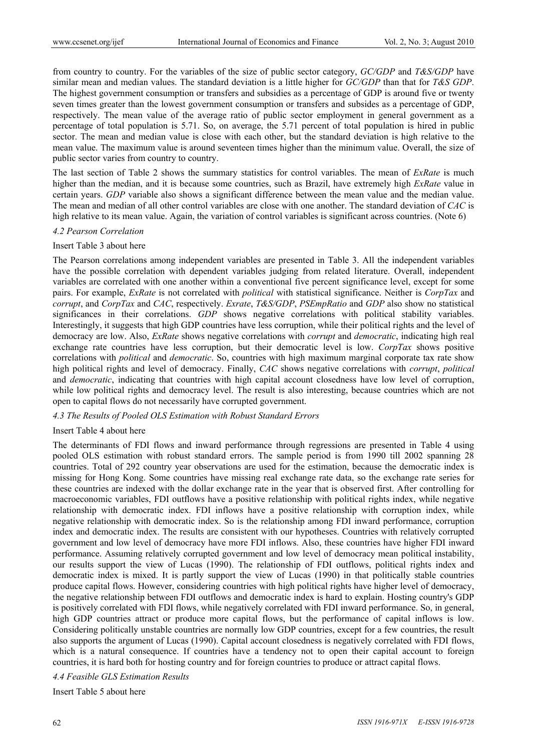from country to country. For the variables of the size of public sector category, *GC/GDP* and *T&S/GDP* have similar mean and median values. The standard deviation is a little higher for *GC/GDP* than that for *T&S GDP*. The highest government consumption or transfers and subsidies as a percentage of GDP is around five or twenty seven times greater than the lowest government consumption or transfers and subsides as a percentage of GDP, respectively. The mean value of the average ratio of public sector employment in general government as a percentage of total population is 5.71. So, on average, the 5.71 percent of total population is hired in public sector. The mean and median value is close with each other, but the standard deviation is high relative to the mean value. The maximum value is around seventeen times higher than the minimum value. Overall, the size of public sector varies from country to country.

The last section of Table 2 shows the summary statistics for control variables. The mean of *ExRate* is much higher than the median, and it is because some countries, such as Brazil, have extremely high *ExRate* value in certain years. *GDP* variable also shows a significant difference between the mean value and the median value. The mean and median of all other control variables are close with one another. The standard deviation of *CAC* is high relative to its mean value. Again, the variation of control variables is significant across countries. (Note 6)

#### *4.2 Pearson Correlation*

## Insert Table 3 about here

The Pearson correlations among independent variables are presented in Table 3. All the independent variables have the possible correlation with dependent variables judging from related literature. Overall, independent variables are correlated with one another within a conventional five percent significance level, except for some pairs. For example, *ExRate* is not correlated with *political* with statistical significance. Neither is *CorpTax* and *corrupt*, and *CorpTax* and *CAC*, respectively. *Exrate*, *T&S/GDP*, *PSEmpRatio* and *GDP* also show no statistical significances in their correlations. *GDP* shows negative correlations with political stability variables. Interestingly, it suggests that high GDP countries have less corruption, while their political rights and the level of democracy are low. Also, *ExRate* shows negative correlations with *corrupt* and *democratic*, indicating high real exchange rate countries have less corruption, but their democratic level is low. *CorpTax* shows positive correlations with *political* and *democratic*. So, countries with high maximum marginal corporate tax rate show high political rights and level of democracy. Finally, *CAC* shows negative correlations with *corrupt*, *political* and *democratic*, indicating that countries with high capital account closedness have low level of corruption, while low political rights and democracy level. The result is also interesting, because countries which are not open to capital flows do not necessarily have corrupted government.

## *4.3 The Results of Pooled OLS Estimation with Robust Standard Errors*

#### Insert Table 4 about here

The determinants of FDI flows and inward performance through regressions are presented in Table 4 using pooled OLS estimation with robust standard errors. The sample period is from 1990 till 2002 spanning 28 countries. Total of 292 country year observations are used for the estimation, because the democratic index is missing for Hong Kong. Some countries have missing real exchange rate data, so the exchange rate series for these countries are indexed with the dollar exchange rate in the year that is observed first. After controlling for macroeconomic variables, FDI outflows have a positive relationship with political rights index, while negative relationship with democratic index. FDI inflows have a positive relationship with corruption index, while negative relationship with democratic index. So is the relationship among FDI inward performance, corruption index and democratic index. The results are consistent with our hypotheses. Countries with relatively corrupted government and low level of democracy have more FDI inflows. Also, these countries have higher FDI inward performance. Assuming relatively corrupted government and low level of democracy mean political instability, our results support the view of Lucas (1990). The relationship of FDI outflows, political rights index and democratic index is mixed. It is partly support the view of Lucas (1990) in that politically stable countries produce capital flows. However, considering countries with high political rights have higher level of democracy, the negative relationship between FDI outflows and democratic index is hard to explain. Hosting country's GDP is positively correlated with FDI flows, while negatively correlated with FDI inward performance. So, in general, high GDP countries attract or produce more capital flows, but the performance of capital inflows is low. Considering politically unstable countries are normally low GDP countries, except for a few countries, the result also supports the argument of Lucas (1990). Capital account closedness is negatively correlated with FDI flows, which is a natural consequence. If countries have a tendency not to open their capital account to foreign countries, it is hard both for hosting country and for foreign countries to produce or attract capital flows.

#### *4.4 Feasible GLS Estimation Results*

Insert Table 5 about here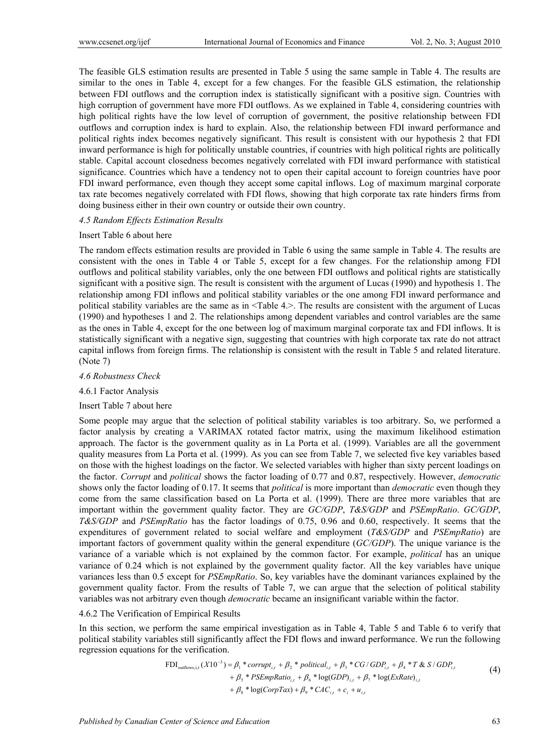The feasible GLS estimation results are presented in Table 5 using the same sample in Table 4. The results are similar to the ones in Table 4, except for a few changes. For the feasible GLS estimation, the relationship between FDI outflows and the corruption index is statistically significant with a positive sign. Countries with high corruption of government have more FDI outflows. As we explained in Table 4, considering countries with high political rights have the low level of corruption of government, the positive relationship between FDI outflows and corruption index is hard to explain. Also, the relationship between FDI inward performance and political rights index becomes negatively significant. This result is consistent with our hypothesis 2 that FDI inward performance is high for politically unstable countries, if countries with high political rights are politically stable. Capital account closedness becomes negatively correlated with FDI inward performance with statistical significance. Countries which have a tendency not to open their capital account to foreign countries have poor FDI inward performance, even though they accept some capital inflows. Log of maximum marginal corporate tax rate becomes negatively correlated with FDI flows, showing that high corporate tax rate hinders firms from doing business either in their own country or outside their own country.

## *4.5 Random Effects Estimation Results*

#### Insert Table 6 about here

The random effects estimation results are provided in Table 6 using the same sample in Table 4. The results are consistent with the ones in Table 4 or Table 5, except for a few changes. For the relationship among FDI outflows and political stability variables, only the one between FDI outflows and political rights are statistically significant with a positive sign. The result is consistent with the argument of Lucas (1990) and hypothesis 1. The relationship among FDI inflows and political stability variables or the one among FDI inward performance and political stability variables are the same as in <Table 4.>. The results are consistent with the argument of Lucas (1990) and hypotheses 1 and 2. The relationships among dependent variables and control variables are the same as the ones in Table 4, except for the one between log of maximum marginal corporate tax and FDI inflows. It is statistically significant with a negative sign, suggesting that countries with high corporate tax rate do not attract capital inflows from foreign firms. The relationship is consistent with the result in Table 5 and related literature. (Note 7)

#### *4.6 Robustness Check*

#### 4.6.1 Factor Analysis

#### Insert Table 7 about here

Some people may argue that the selection of political stability variables is too arbitrary. So, we performed a factor analysis by creating a VARIMAX rotated factor matrix, using the maximum likelihood estimation approach. The factor is the government quality as in La Porta et al. (1999). Variables are all the government quality measures from La Porta et al. (1999). As you can see from Table 7, we selected five key variables based on those with the highest loadings on the factor. We selected variables with higher than sixty percent loadings on the factor. *Corrupt* and *political* shows the factor loading of 0.77 and 0.87, respectively. However, *democratic* shows only the factor loading of 0.17. It seems that *political* is more important than *democratic* even though they come from the same classification based on La Porta et al. (1999). There are three more variables that are important within the government quality factor. They are *GC/GDP*, *T&S/GDP* and *PSEmpRatio*. *GC/GDP*, *T&S/GDP* and *PSEmpRatio* has the factor loadings of 0.75, 0.96 and 0.60, respectively. It seems that the expenditures of government related to social welfare and employment (*T&S/GDP* and *PSEmpRatio*) are important factors of government quality within the general expenditure (*GC/GDP*). The unique variance is the variance of a variable which is not explained by the common factor. For example, *political* has an unique variance of 0.24 which is not explained by the government quality factor. All the key variables have unique variances less than 0.5 except for *PSEmpRatio*. So, key variables have the dominant variances explained by the government quality factor. From the results of Table 7, we can argue that the selection of political stability variables was not arbitrary even though *democratic* became an insignificant variable within the factor.

# 4.6.2 The Verification of Empirical Results

In this section, we perform the same empirical investigation as in Table 4, Table 5 and Table 6 to verify that political stability variables still significantly affect the FDI flows and inward performance. We run the following regression equations for the verification.

$$
\text{FDI}_{\text{outflows},i,t}(X10^{-3}) = \beta_1 * corrupt_{i,t} + \beta_2 * political_{i,t} + \beta_3 * CG/GDP_{i,t} + \beta_4 * T & S/GDP_{i,t} \\
+ \beta_5 * PSEmpRatio_{i,t} + \beta_6 * log(GDP)_{i,t} + \beta_7 * log(ExRate)_{i,t} \\
+ \beta_8 * log(CorpTax) + \beta_9 * CAC_{i,t} + c_i + u_{i,t}
$$
\n
$$
(4)
$$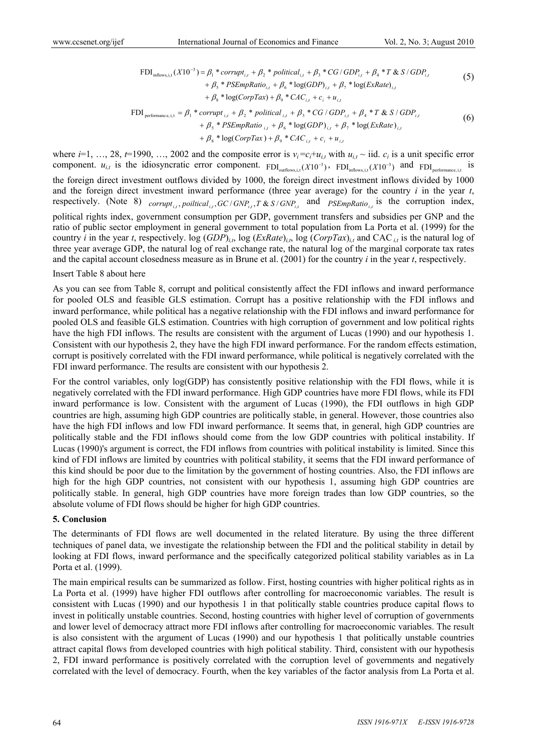$$
\text{FDI}_{\text{inflows}, i, t}(X10^{-3}) = \beta_1 * corrupt_{i,t} + \beta_2 * political_{i,t} + \beta_3 * CG / GDP_{i,t} + \beta_4 * T & S / GDP_{i,t} + \beta_5 * PSEmpRatio_{i,t} + \beta_6 * log(GDP)_{i,t} + \beta_7 * log(ExRate)_{i,t} + \beta_8 * log(CorpTax) + \beta_9 * CAC_{i,t} + c_i + u_{i,t}
$$
\n
$$
(5)
$$

$$
\text{FDI}_{\text{performance}, i, t} = \beta_1 \cdot \text{corrupt}_{i, t} + \beta_2 \cdot \text{political}_{i, t} + \beta_3 \cdot \text{CG}/GDP_{i, t} + \beta_4 \cdot \text{T} \& S/GDP_{i, t} \\
 \quad + \beta_5 \cdot \text{PSEmpRatio}_{i, t} + \beta_6 \cdot \log(GDP)_{i, t} + \beta_7 \cdot \log(\text{ExRate})_{i, t} \\
 \quad + \beta_8 \cdot \log(\text{CorpTax}) + \beta_9 \cdot \text{CAC}_{i, t} + c_i + u_{i, t} \tag{6}
$$

where  $i=1, ..., 28, t=1990, ..., 2002$  and the composite error is  $v_i = c_i + u_{i,t}$  with  $u_{i,t} \sim$  iid.  $c_i$  is a unit specific error component.  $u_{i,t}$  is the idiosyncratic error component.  $FDI_{outflows,i,t}(X10^{-3})$ ,  $FDI_{inflows,i,t}(X10^{-3})$  and  $FDI_{performance,i,t}$  is the foreign direct investment outflows divided by 1000, the foreign direct investment inflows divided by 1000 and the foreign direct investment inward performance (three year average) for the country *i* in the year *t*, respectively. (Note 8)  $_{corrupt_{i,j}}$  poiltical,  $_{GCI}$  GNP<sub>i,</sub>  $T \& S/GNP_{i,j}$  and  $_{PSEmpRatio_{i,j}}$  is the corruption index, political rights index, government consumption per GDP, government transfers and subsidies per GNP and the ratio of public sector employment in general government to total population from La Porta et al. (1999) for the country *i* in the year *t*, respectively. log  $(GDP)_{i,t}$ , log  $(ExRate)_{i,t}$ , log  $(CorpTax)_{i,t}$  and CAC<sub>*i,t*</sub> is the natural log of three year average GDP, the natural log of real exchange rate, the natural log of the marginal corporate tax rates and the capital account closedness measure as in Brune et al. (2001) for the country *i* in the year *t*, respectively.

#### Insert Table 8 about here

As you can see from Table 8, corrupt and political consistently affect the FDI inflows and inward performance for pooled OLS and feasible GLS estimation. Corrupt has a positive relationship with the FDI inflows and inward performance, while political has a negative relationship with the FDI inflows and inward performance for pooled OLS and feasible GLS estimation. Countries with high corruption of government and low political rights have the high FDI inflows. The results are consistent with the argument of Lucas (1990) and our hypothesis 1. Consistent with our hypothesis 2, they have the high FDI inward performance. For the random effects estimation, corrupt is positively correlated with the FDI inward performance, while political is negatively correlated with the FDI inward performance. The results are consistent with our hypothesis 2.

For the control variables, only log(GDP) has consistently positive relationship with the FDI flows, while it is negatively correlated with the FDI inward performance. High GDP countries have more FDI flows, while its FDI inward performance is low. Consistent with the argument of Lucas (1990), the FDI outflows in high GDP countries are high, assuming high GDP countries are politically stable, in general. However, those countries also have the high FDI inflows and low FDI inward performance. It seems that, in general, high GDP countries are politically stable and the FDI inflows should come from the low GDP countries with political instability. If Lucas (1990)'s argument is correct, the FDI inflows from countries with political instability is limited. Since this kind of FDI inflows are limited by countries with political stability, it seems that the FDI inward performance of this kind should be poor due to the limitation by the government of hosting countries. Also, the FDI inflows are high for the high GDP countries, not consistent with our hypothesis 1, assuming high GDP countries are politically stable. In general, high GDP countries have more foreign trades than low GDP countries, so the absolute volume of FDI flows should be higher for high GDP countries.

#### **5. Conclusion**

The determinants of FDI flows are well documented in the related literature. By using the three different techniques of panel data, we investigate the relationship between the FDI and the political stability in detail by looking at FDI flows, inward performance and the specifically categorized political stability variables as in La Porta et al. (1999).

The main empirical results can be summarized as follow. First, hosting countries with higher political rights as in La Porta et al. (1999) have higher FDI outflows after controlling for macroeconomic variables. The result is consistent with Lucas (1990) and our hypothesis 1 in that politically stable countries produce capital flows to invest in politically unstable countries. Second, hosting countries with higher level of corruption of governments and lower level of democracy attract more FDI inflows after controlling for macroeconomic variables. The result is also consistent with the argument of Lucas (1990) and our hypothesis 1 that politically unstable countries attract capital flows from developed countries with high political stability. Third, consistent with our hypothesis 2, FDI inward performance is positively correlated with the corruption level of governments and negatively correlated with the level of democracy. Fourth, when the key variables of the factor analysis from La Porta et al.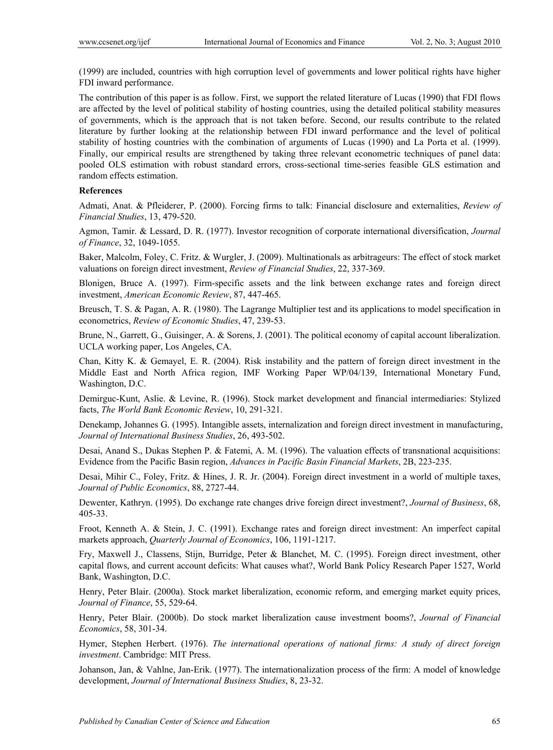(1999) are included, countries with high corruption level of governments and lower political rights have higher FDI inward performance.

The contribution of this paper is as follow. First, we support the related literature of Lucas (1990) that FDI flows are affected by the level of political stability of hosting countries, using the detailed political stability measures of governments, which is the approach that is not taken before. Second, our results contribute to the related literature by further looking at the relationship between FDI inward performance and the level of political stability of hosting countries with the combination of arguments of Lucas (1990) and La Porta et al. (1999). Finally, our empirical results are strengthened by taking three relevant econometric techniques of panel data: pooled OLS estimation with robust standard errors, cross-sectional time-series feasible GLS estimation and random effects estimation.

# **References**

Admati, Anat. & Pfleiderer, P. (2000). Forcing firms to talk: Financial disclosure and externalities, *Review of Financial Studies*, 13, 479-520.

Agmon, Tamir. & Lessard, D. R. (1977). Investor recognition of corporate international diversification, *Journal of Finance*, 32, 1049-1055.

Baker, Malcolm, Foley, C. Fritz. & Wurgler, J. (2009). Multinationals as arbitrageurs: The effect of stock market valuations on foreign direct investment, *Review of Financial Studies*, 22, 337-369.

Blonigen, Bruce A. (1997). Firm-specific assets and the link between exchange rates and foreign direct investment, *American Economic Review*, 87, 447-465.

Breusch, T. S. & Pagan, A. R. (1980). The Lagrange Multiplier test and its applications to model specification in econometrics, *Review of Economic Studies*, 47, 239-53.

Brune, N., Garrett, G., Guisinger, A. & Sorens, J. (2001). The political economy of capital account liberalization. UCLA working paper, Los Angeles, CA.

Chan, Kitty K. & Gemayel, E. R. (2004). Risk instability and the pattern of foreign direct investment in the Middle East and North Africa region, IMF Working Paper WP/04/139, International Monetary Fund, Washington, D.C.

Demirguc-Kunt, Aslie. & Levine, R. (1996). Stock market development and financial intermediaries: Stylized facts, *The World Bank Economic Review*, 10, 291-321.

Denekamp, Johannes G. (1995). Intangible assets, internalization and foreign direct investment in manufacturing, *Journal of International Business Studies*, 26, 493-502.

Desai, Anand S., Dukas Stephen P. & Fatemi, A. M. (1996). The valuation effects of transnational acquisitions: Evidence from the Pacific Basin region, *Advances in Pacific Basin Financial Markets*, 2B, 223-235.

Desai, Mihir C., Foley, Fritz. & Hines, J. R. Jr. (2004). Foreign direct investment in a world of multiple taxes, *Journal of Public Economics*, 88, 2727-44.

Dewenter, Kathryn. (1995). Do exchange rate changes drive foreign direct investment?, *Journal of Business*, 68, 405-33.

Froot, Kenneth A. & Stein, J. C. (1991). Exchange rates and foreign direct investment: An imperfect capital markets approach, *Quarterly Journal of Economics*, 106, 1191-1217.

Fry, Maxwell J., Classens, Stijn, Burridge, Peter & Blanchet, M. C. (1995). Foreign direct investment, other capital flows, and current account deficits: What causes what?, World Bank Policy Research Paper 1527, World Bank, Washington, D.C.

Henry, Peter Blair. (2000a). Stock market liberalization, economic reform, and emerging market equity prices, *Journal of Finance*, 55, 529-64.

Henry, Peter Blair. (2000b). Do stock market liberalization cause investment booms?, *Journal of Financial Economics*, 58, 301-34.

Hymer, Stephen Herbert. (1976). *The international operations of national firms: A study of direct foreign investment*. Cambridge: MIT Press.

Johanson, Jan, & Vahlne, Jan-Erik. (1977). The internationalization process of the firm: A model of knowledge development, *Journal of International Business Studies*, 8, 23-32.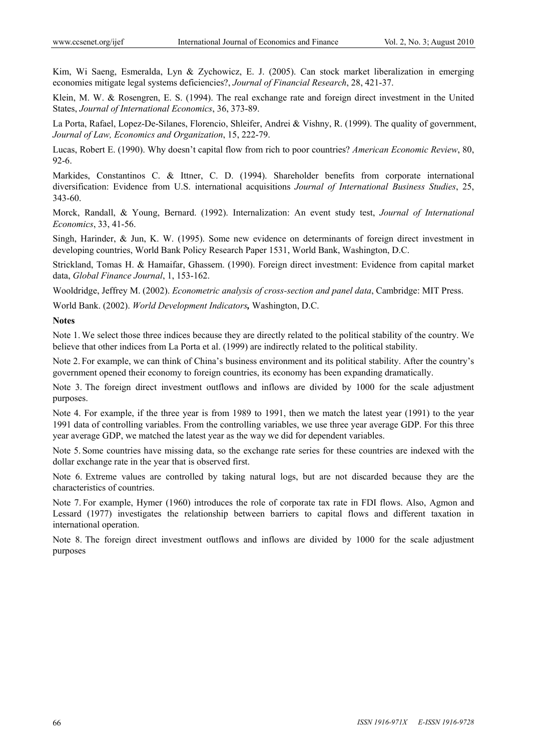Kim, Wi Saeng, Esmeralda, Lyn & Zychowicz, E. J. (2005). Can stock market liberalization in emerging economies mitigate legal systems deficiencies?, *Journal of Financial Research*, 28, 421-37.

Klein, M. W. & Rosengren, E. S. (1994). The real exchange rate and foreign direct investment in the United States, *Journal of International Economics*, 36, 373-89.

La Porta, Rafael, Lopez-De-Silanes, Florencio, Shleifer, Andrei & Vishny, R. (1999). The quality of government, *Journal of Law, Economics and Organization*, 15, 222-79.

Lucas, Robert E. (1990). Why doesn't capital flow from rich to poor countries? *American Economic Review*, 80, 92-6.

Markides, Constantinos C. & Ittner, C. D. (1994). Shareholder benefits from corporate international diversification: Evidence from U.S. international acquisitions *Journal of International Business Studies*, 25, 343-60.

Morck, Randall, & Young, Bernard. (1992). Internalization: An event study test, *Journal of International Economics*, 33, 41-56.

Singh, Harinder, & Jun, K. W. (1995). Some new evidence on determinants of foreign direct investment in developing countries, World Bank Policy Research Paper 1531, World Bank, Washington, D.C.

Strickland, Tomas H. & Hamaifar, Ghassem. (1990). Foreign direct investment: Evidence from capital market data, *Global Finance Journal*, 1, 153-162.

Wooldridge, Jeffrey M. (2002). *Econometric analysis of cross-section and panel data*, Cambridge: MIT Press.

World Bank. (2002). *World Development Indicators,* Washington, D.C.

**Notes** 

Note 1.We select those three indices because they are directly related to the political stability of the country. We believe that other indices from La Porta et al. (1999) are indirectly related to the political stability.

Note 2. For example, we can think of China's business environment and its political stability. After the country's government opened their economy to foreign countries, its economy has been expanding dramatically.

Note 3. The foreign direct investment outflows and inflows are divided by 1000 for the scale adjustment purposes.

Note 4. For example, if the three year is from 1989 to 1991, then we match the latest year (1991) to the year 1991 data of controlling variables. From the controlling variables, we use three year average GDP. For this three year average GDP, we matched the latest year as the way we did for dependent variables.

Note 5. Some countries have missing data, so the exchange rate series for these countries are indexed with the dollar exchange rate in the year that is observed first.

Note 6. Extreme values are controlled by taking natural logs, but are not discarded because they are the characteristics of countries.

Note 7. For example, Hymer (1960) introduces the role of corporate tax rate in FDI flows. Also, Agmon and Lessard (1977) investigates the relationship between barriers to capital flows and different taxation in international operation.

Note 8. The foreign direct investment outflows and inflows are divided by 1000 for the scale adjustment purposes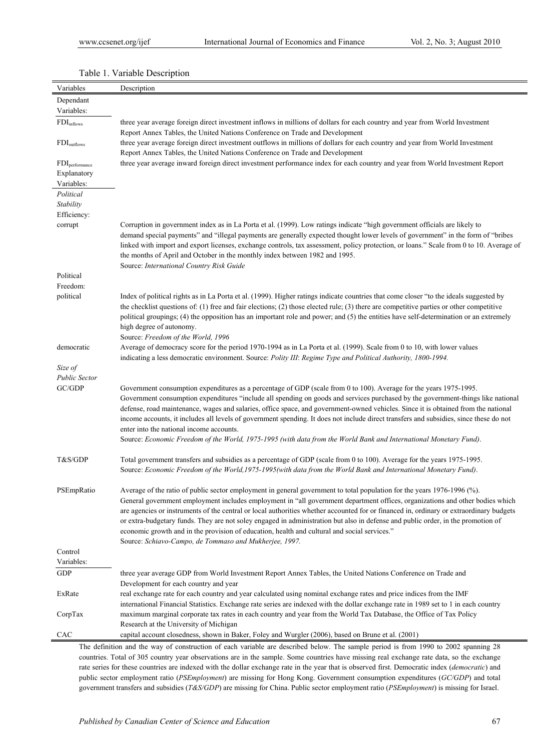| Variables                  | Description                                                                                                                                                                                                                                                                                                                                                                                                                                                                                                                                                                                                                                                                                             |
|----------------------------|---------------------------------------------------------------------------------------------------------------------------------------------------------------------------------------------------------------------------------------------------------------------------------------------------------------------------------------------------------------------------------------------------------------------------------------------------------------------------------------------------------------------------------------------------------------------------------------------------------------------------------------------------------------------------------------------------------|
| Dependant                  |                                                                                                                                                                                                                                                                                                                                                                                                                                                                                                                                                                                                                                                                                                         |
| Variables:                 |                                                                                                                                                                                                                                                                                                                                                                                                                                                                                                                                                                                                                                                                                                         |
| FDI <sub>inflows</sub>     | three year average foreign direct investment inflows in millions of dollars for each country and year from World Investment                                                                                                                                                                                                                                                                                                                                                                                                                                                                                                                                                                             |
| $FDI_{outflows}$           | Report Annex Tables, the United Nations Conference on Trade and Development<br>three year average foreign direct investment outflows in millions of dollars for each country and year from World Investment<br>Report Annex Tables, the United Nations Conference on Trade and Development                                                                                                                                                                                                                                                                                                                                                                                                              |
| FDI <sub>performance</sub> | three year average inward foreign direct investment performance index for each country and year from World Investment Report                                                                                                                                                                                                                                                                                                                                                                                                                                                                                                                                                                            |
| Explanatory                |                                                                                                                                                                                                                                                                                                                                                                                                                                                                                                                                                                                                                                                                                                         |
| Variables:                 |                                                                                                                                                                                                                                                                                                                                                                                                                                                                                                                                                                                                                                                                                                         |
| Political                  |                                                                                                                                                                                                                                                                                                                                                                                                                                                                                                                                                                                                                                                                                                         |
| Stability                  |                                                                                                                                                                                                                                                                                                                                                                                                                                                                                                                                                                                                                                                                                                         |
| Efficiency:                |                                                                                                                                                                                                                                                                                                                                                                                                                                                                                                                                                                                                                                                                                                         |
| corrupt                    | Corruption in government index as in La Porta et al. (1999). Low ratings indicate "high government officials are likely to<br>demand special payments" and "illegal payments are generally expected thought lower levels of government" in the form of "bribes<br>linked with import and export licenses, exchange controls, tax assessment, policy protection, or loans." Scale from 0 to 10. Average of<br>the months of April and October in the monthly index between 1982 and 1995.<br>Source: International Country Risk Guide                                                                                                                                                                    |
| Political                  |                                                                                                                                                                                                                                                                                                                                                                                                                                                                                                                                                                                                                                                                                                         |
| Freedom:                   |                                                                                                                                                                                                                                                                                                                                                                                                                                                                                                                                                                                                                                                                                                         |
| political                  | Index of political rights as in La Porta et al. (1999). Higher ratings indicate countries that come closer "to the ideals suggested by<br>the checklist questions of: (1) free and fair elections; (2) those elected rule; (3) there are competitive parties or other competitive<br>political groupings; (4) the opposition has an important role and power; and (5) the entities have self-determination or an extremely<br>high degree of autonomy.<br>Source: Freedom of the World, 1996                                                                                                                                                                                                            |
| democratic                 | Average of democracy score for the period 1970-1994 as in La Porta et al. (1999). Scale from 0 to 10, with lower values                                                                                                                                                                                                                                                                                                                                                                                                                                                                                                                                                                                 |
|                            | indicating a less democratic environment. Source: Polity III: Regime Type and Political Authority, 1800-1994.                                                                                                                                                                                                                                                                                                                                                                                                                                                                                                                                                                                           |
| Size of                    |                                                                                                                                                                                                                                                                                                                                                                                                                                                                                                                                                                                                                                                                                                         |
| <b>Public Sector</b>       |                                                                                                                                                                                                                                                                                                                                                                                                                                                                                                                                                                                                                                                                                                         |
| GC/GDP                     | Government consumption expenditures as a percentage of GDP (scale from 0 to 100). Average for the years 1975-1995.<br>Government consumption expenditures "include all spending on goods and services purchased by the government-things like national<br>defense, road maintenance, wages and salaries, office space, and government-owned vehicles. Since it is obtained from the national<br>income accounts, it includes all levels of government spending. It does not include direct transfers and subsidies, since these do not<br>enter into the national income accounts.<br>Source: Economic Freedom of the World, 1975-1995 (with data from the World Bank and International Monetary Fund). |
| T&S/GDP                    | Total government transfers and subsidies as a percentage of GDP (scale from 0 to 100). Average for the years 1975-1995.<br>Source: Economic Freedom of the World, 1975-1995(with data from the World Bank and International Monetary Fund).                                                                                                                                                                                                                                                                                                                                                                                                                                                             |
| PSEmpRatio                 | Average of the ratio of public sector employment in general government to total population for the years 1976-1996 (%).<br>General government employment includes employment in "all government department offices, organizations and other bodies which<br>are agencies or instruments of the central or local authorities whether accounted for or financed in, ordinary or extraordinary budgets<br>or extra-budgetary funds. They are not soley engaged in administration but also in defense and public order, in the promotion of<br>economic growth and in the provision of education, health and cultural and social services."<br>Source: Schiavo-Campo, de Tommaso and Mukherjee, 1997.       |
| Control                    |                                                                                                                                                                                                                                                                                                                                                                                                                                                                                                                                                                                                                                                                                                         |
| Variables:                 |                                                                                                                                                                                                                                                                                                                                                                                                                                                                                                                                                                                                                                                                                                         |
| GDP                        | three year average GDP from World Investment Report Annex Tables, the United Nations Conference on Trade and                                                                                                                                                                                                                                                                                                                                                                                                                                                                                                                                                                                            |
|                            | Development for each country and year                                                                                                                                                                                                                                                                                                                                                                                                                                                                                                                                                                                                                                                                   |
| ExRate                     | real exchange rate for each country and year calculated using nominal exchange rates and price indices from the IMF                                                                                                                                                                                                                                                                                                                                                                                                                                                                                                                                                                                     |
| CorpTax                    | international Financial Statistics. Exchange rate series are indexed with the dollar exchange rate in 1989 set to 1 in each country<br>maximum marginal corporate tax rates in each country and year from the World Tax Database, the Office of Tax Policy<br>Research at the University of Michigan                                                                                                                                                                                                                                                                                                                                                                                                    |
| CAC                        | capital account closedness, shown in Baker, Foley and Wurgler (2006), based on Brune et al. (2001)                                                                                                                                                                                                                                                                                                                                                                                                                                                                                                                                                                                                      |
|                            | The definition and the way of construction of each verichle are described below. The sample period is from 1000 to 2002 spanning 28                                                                                                                                                                                                                                                                                                                                                                                                                                                                                                                                                                     |

Table 1. Variable Description

The definition and the way of construction of each variable are described below. The sample period is from 1990 to 2002 spanning 28 countries. Total of 305 country year observations are in the sample. Some countries have missing real exchange rate data, so the exchange rate series for these countries are indexed with the dollar exchange rate in the year that is observed first. Democratic index (*democratic*) and public sector employment ratio (*PSEmployment*) are missing for Hong Kong. Government consumption expenditures (*GC/GDP*) and total government transfers and subsidies (*T&S/GDP*) are missing for China. Public sector employment ratio (*PSEmployment*) is missing for Israel.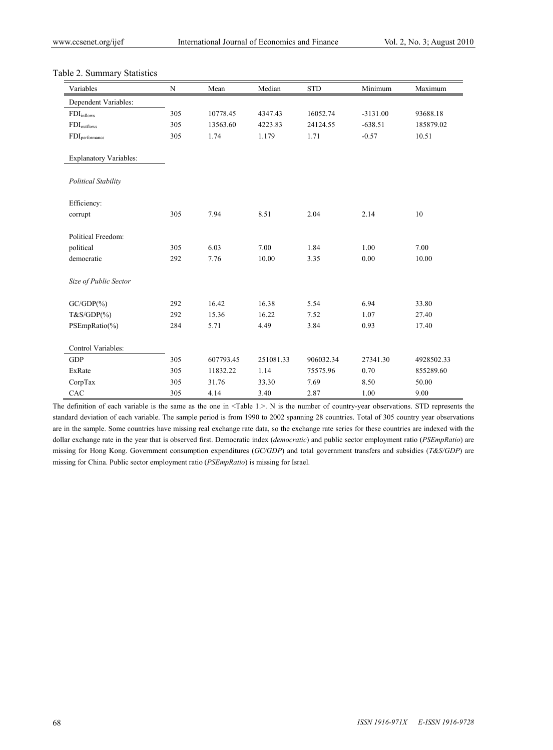|  | Table 2. Summary Statistics |  |
|--|-----------------------------|--|
|--|-----------------------------|--|

| Variables                     | N   | Mean      | Median    | STD       | Minimum    | Maximum    |
|-------------------------------|-----|-----------|-----------|-----------|------------|------------|
| Dependent Variables:          |     |           |           |           |            |            |
| $\rm FDI_{inflows}$           | 305 | 10778.45  | 4347.43   | 16052.74  | $-3131.00$ | 93688.18   |
| $FDI_{outflows}$              | 305 | 13563.60  | 4223.83   | 24124.55  | $-638.51$  | 185879.02  |
| $FDI_{performance}$           | 305 | 1.74      | 1.179     | 1.71      | $-0.57$    | 10.51      |
| <b>Explanatory Variables:</b> |     |           |           |           |            |            |
| <b>Political Stability</b>    |     |           |           |           |            |            |
| Efficiency:                   |     |           |           |           |            |            |
| corrupt                       | 305 | 7.94      | 8.51      | 2.04      | 2.14       | 10         |
| Political Freedom:            |     |           |           |           |            |            |
| political                     | 305 | 6.03      | 7.00      | 1.84      | 1.00       | 7.00       |
| democratic                    | 292 | 7.76      | 10.00     | 3.35      | 0.00       | 10.00      |
| Size of Public Sector         |     |           |           |           |            |            |
| $GC/GDP(\%)$                  | 292 | 16.42     | 16.38     | 5.54      | 6.94       | 33.80      |
| $T&S/GDP(\%)$                 | 292 | 15.36     | 16.22     | 7.52      | 1.07       | 27.40      |
| PSEmpRatio(%)                 | 284 | 5.71      | 4.49      | 3.84      | 0.93       | 17.40      |
| Control Variables:            |     |           |           |           |            |            |
| <b>GDP</b>                    | 305 | 607793.45 | 251081.33 | 906032.34 | 27341.30   | 4928502.33 |
| ExRate                        | 305 | 11832.22  | 1.14      | 75575.96  | 0.70       | 855289.60  |
| CorpTax                       | 305 | 31.76     | 33.30     | 7.69      | 8.50       | 50.00      |
| CAC                           | 305 | 4.14      | 3.40      | 2.87      | 1.00       | 9.00       |

The definition of each variable is the same as the one in <Table 1.>. N is the number of country-year observations. STD represents the standard deviation of each variable. The sample period is from 1990 to 2002 spanning 28 countries. Total of 305 country year observations are in the sample. Some countries have missing real exchange rate data, so the exchange rate series for these countries are indexed with the dollar exchange rate in the year that is observed first. Democratic index (*democratic*) and public sector employment ratio (*PSEmpRatio*) are missing for Hong Kong. Government consumption expenditures (*GC/GDP*) and total government transfers and subsidies (*T&S/GDP*) are missing for China. Public sector employment ratio (*PSEmpRatio*) is missing for Israel.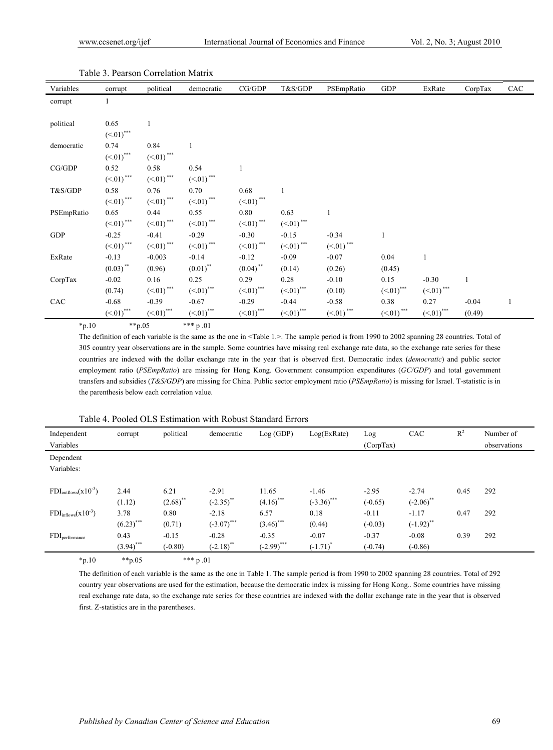| Variables  | corrupt                 | political               | democratic     | CG/GDP                    | T&S/GDP                 | PSEmpRatio     | ${\rm GDP}$                           | ExRate          | CorpTax      | CAC |
|------------|-------------------------|-------------------------|----------------|---------------------------|-------------------------|----------------|---------------------------------------|-----------------|--------------|-----|
| corrupt    | 1                       |                         |                |                           |                         |                |                                       |                 |              |     |
|            |                         |                         |                |                           |                         |                |                                       |                 |              |     |
| political  | 0.65                    |                         |                |                           |                         |                |                                       |                 |              |     |
|            | $(\le 01)$ ***          |                         |                |                           |                         |                |                                       |                 |              |     |
| democratic | 0.74                    | 0.84                    | $\mathbf{1}$   |                           |                         |                |                                       |                 |              |     |
|            | $(\le 01)$ ***          | $(<.01)$ ***            |                |                           |                         |                |                                       |                 |              |     |
| CG/GDP     | 0.52                    | 0.58                    | 0.54           |                           |                         |                |                                       |                 |              |     |
|            | $(\le 01)$ ***          | $(\le 01)$ ***          | $(\le 01)$ *** |                           |                         |                |                                       |                 |              |     |
| T&S/GDP    | 0.58                    | 0.76                    | 0.70           | 0.68                      | $\mathbf{1}$            |                |                                       |                 |              |     |
|            | $(\le 01)$ ***          | $(\le 01)$ ***          | $(<.01)$ ***   | $(\le 01)$ ***            |                         |                |                                       |                 |              |     |
| PSEmpRatio | 0.65                    | 0.44                    | 0.55           | 0.80                      | 0.63                    |                |                                       |                 |              |     |
|            | $(\le 01)$ ***          | $(\le 01)$ ***          | $(\le 01)$ *** | $(<.01)$ ***              | $(\le 01)$ ***          |                |                                       |                 |              |     |
| <b>GDP</b> | $-0.25$                 | $-0.41$                 | $-0.29$        | $-0.30$                   | $-0.15$                 | $-0.34$        | $\mathbf{1}$                          |                 |              |     |
|            | $(\le 01)$ ***          | $(\le 01)$ ***          | $(-.01)$ ***   | $(\le 01)$ ***            | $(<.01)$ ***            | $(\le 01)$ *** |                                       |                 |              |     |
| ExRate     | $-0.13$                 | $-0.003$                | $-0.14$        | $-0.12$                   | $-0.09$                 | $-0.07$        | 0.04                                  |                 |              |     |
|            | $(0.03)$ **             | (0.96)                  | $(0.01)$ **    | $(0.04)$ **               | (0.14)                  | (0.26)         | (0.45)                                |                 |              |     |
| CorpTax    | $-0.02$                 | 0.16                    | 0.25           | 0.29                      | 0.28                    | $-0.10$        | 0.15                                  | $-0.30$         | $\mathbf{1}$ |     |
|            | (0.74)                  | $(\le 01)$ ***          | $(-.01)$ ***   | $(\le 01)$ <sup>***</sup> | $(-01)$ ***             | (0.10)         | $(-.01)$ ***                          | $(\le 01)$ ***  |              |     |
| CAC        | $-0.68$                 | $-0.39$                 | $-0.67$        | $-0.29$                   | $-0.44$                 | $-0.58$        | 0.38                                  | 0.27            | $-0.04$      |     |
|            | $(<.01)$ <sup>***</sup> | $(<.01)$ <sup>***</sup> | $(<.01)$ ***   | $(\leq 01)$ ***           | $(<.01)$ <sup>***</sup> | $(\le 01)$ *** | $\left(\leq 01\right)$ <sup>***</sup> | $(\leq 01)$ *** | (0.49)       |     |

Table 3. Pearson Correlation Matrix

 $*p.10$   $**p.05$   $*** p.01$ 

The definition of each variable is the same as the one in <Table 1.>. The sample period is from 1990 to 2002 spanning 28 countries. Total of 305 country year observations are in the sample. Some countries have missing real exchange rate data, so the exchange rate series for these countries are indexed with the dollar exchange rate in the year that is observed first. Democratic index (*democratic*) and public sector employment ratio (*PSEmpRatio*) are missing for Hong Kong. Government consumption expenditures (*GC/GDP*) and total government transfers and subsidies (*T&S/GDP*) are missing for China. Public sector employment ratio (*PSEmpRatio*) is missing for Israel. T-statistic is in the parenthesis below each correlation value.

| Independent                      | corrupt      | political   | democratic    | Log(GDP)      | Log(ExRate)   | Log        | CAC          | $R^2$ | Number of    |
|----------------------------------|--------------|-------------|---------------|---------------|---------------|------------|--------------|-------|--------------|
| Variables                        |              |             |               |               |               | (Corp Tax) |              |       | observations |
| Dependent                        |              |             |               |               |               |            |              |       |              |
| Variables:                       |              |             |               |               |               |            |              |       |              |
|                                  |              |             |               |               |               |            |              |       |              |
| $FDI_{outflows}(x10^{-3})$       | 2.44         | 6.21        | $-2.91$       | 11.65         | $-1.46$       | $-2.95$    | $-2.74$      | 0.45  | 292          |
|                                  | (1.12)       | $(2.68)$ ** | $(-2.35)$ **  | $(4.16)$ ***  | $(-3.36)$ *** | $(-0.65)$  | $(-2.06)$ ** |       |              |
| $FDI_{\text{inflows}}(x10^{-3})$ | 3.78         | 0.80        | $-2.18$       | 6.57          | 0.18          | $-0.11$    | $-1.17$      | 0.47  | 292          |
|                                  | $(6.23)$ *** | (0.71)      | $(-3.07)$ *** | $(3.46)$ ***  | (0.44)        | $(-0.03)$  | $(-1.92)$ ** |       |              |
| $FDI_{performance}$              | 0.43         | $-0.15$     | $-0.28$       | $-0.35$       | $-0.07$       | $-0.37$    | $-0.08$      | 0.39  | 292          |
|                                  | $(3.94)$ *** | $(-0.80)$   | $(-2.18)$ **  | $(-2.99)$ *** | $(-1.71)^*$   | $(-0.74)$  | $(-0.86)$    |       |              |
| $\sim$ $\sim$ $\sim$             | .            |             |               |               |               |            |              |       |              |

Table 4. Pooled OLS Estimation with Robust Standard Errors

\*p.10 \*\*p.05 \*\*\* p .01

The definition of each variable is the same as the one in Table 1. The sample period is from 1990 to 2002 spanning 28 countries. Total of 292 country year observations are used for the estimation, because the democratic index is missing for Hong Kong.. Some countries have missing real exchange rate data, so the exchange rate series for these countries are indexed with the dollar exchange rate in the year that is observed first. Z-statistics are in the parentheses.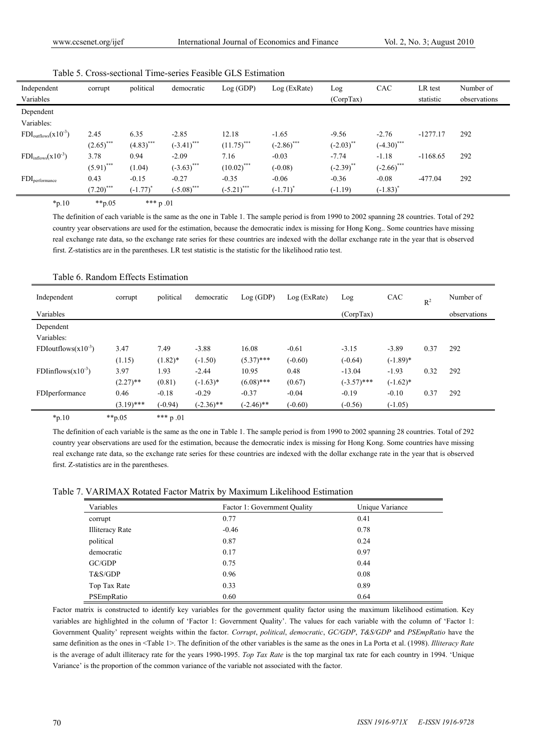| Independent                      | corrupt      | political    | democratic    | Log(GDP)                 | Log (ExRate)  | Log          | CAC                      | LR test    | Number of    |
|----------------------------------|--------------|--------------|---------------|--------------------------|---------------|--------------|--------------------------|------------|--------------|
| Variables                        |              |              |               |                          |               | (Corp Tax)   |                          | statistic  | observations |
| Dependent                        |              |              |               |                          |               |              |                          |            |              |
| Variables:                       |              |              |               |                          |               |              |                          |            |              |
| $FDI_{outflows}(x10^{-3})$       | 2.45         | 6.35         | $-2.85$       | 12.18                    | $-1.65$       | $-9.56$      | $-2.76$                  | $-1277.17$ | 292          |
|                                  | $(2.65)$ *** | $(4.83)$ *** | $(-3.41)$ *** | $(11.75)$ <sup>***</sup> | $(-2.86)$ *** | $(-2.03)$ ** | $(-4.30)$ ***            |            |              |
| $FDI_{\text{inflows}}(x10^{-3})$ | 3.78         | 0.94         | $-2.09$       | 7.16                     | $-0.03$       | $-7.74$      | $-1.18$                  | $-1168.65$ | 292          |
|                                  | $(5.91)$ *** | (1.04)       | $(-3.63)$ *** | $(10.02)$ ***            | $(-0.08)$     | $(-2.39)$ ** | $(-2.66)$ <sup>***</sup> |            |              |
| $FDI_{performance}$              | 0.43         | $-0.15$      | $-0.27$       | $-0.35$                  | $-0.06$       | $-0.36$      | $-0.08$                  | $-477.04$  | 292          |
|                                  | $(7.20)$ *** | $(-1.77)$    | $(-5.08)$ *** | $(-5.21)$ ***            | $(-1.71)^*$   | $(-1.19)$    | $(-1.83)^{^*}$           |            |              |
| .                                | .            | .            |               |                          |               |              |                          |            |              |

 $*p.10$   $**p.05$   $*** p.01$ 

The definition of each variable is the same as the one in Table 1. The sample period is from 1990 to 2002 spanning 28 countries. Total of 292 country year observations are used for the estimation, because the democratic index is missing for Hong Kong.. Some countries have missing real exchange rate data, so the exchange rate series for these countries are indexed with the dollar exchange rate in the year that is observed first. Z-statistics are in the parentheses. LR test statistic is the statistic for the likelihood ratio test.

| Independent              | corrupt      | political  | democratic   | Log (GDP)    | Log (ExRate) | Log           | CAC         | $R^2$ | Number of    |
|--------------------------|--------------|------------|--------------|--------------|--------------|---------------|-------------|-------|--------------|
| Variables                |              |            |              |              |              | (Corp Tax)    |             |       | observations |
| Dependent                |              |            |              |              |              |               |             |       |              |
| Variables:               |              |            |              |              |              |               |             |       |              |
| FDIoutflows $(x10^{-3})$ | 3.47         | 7.49       | $-3.88$      | 16.08        | $-0.61$      | $-3.15$       | $-3.89$     | 0.37  | 292          |
|                          | (1.15)       | $(1.82)$ * | $(-1.50)$    | $(5.37)$ *** | $(-0.60)$    | $(-0.64)$     | $(-1.89)^*$ |       |              |
| FDIinflows $(x10^{-3})$  | 3.97         | 1.93       | $-2.44$      | 10.95        | 0.48         | $-13.04$      | $-1.93$     | 0.32  | 292          |
|                          | $(2.27)$ **  | (0.81)     | $(-1.63)*$   | $(6.08)$ *** | (0.67)       | $(-3.57)$ *** | $(-1.62)$ * |       |              |
| FDIperformance           | 0.46         | $-0.18$    | $-0.29$      | $-0.37$      | $-0.04$      | $-0.19$       | $-0.10$     | 0.37  | 292          |
|                          | $(3.19)$ *** | $(-0.94)$  | $(-2.36)$ ** | $(-2.46)$ ** | $(-0.60)$    | $(-0.56)$     | $(-1.05)$   |       |              |

## Table 6. Random Effects Estimation

 $*_{p.10}$  \*\*p.05 \*\*\* p.01

The definition of each variable is the same as the one in Table 1. The sample period is from 1990 to 2002 spanning 28 countries. Total of 292 country year observations are used for the estimation, because the democratic index is missing for Hong Kong. Some countries have missing real exchange rate data, so the exchange rate series for these countries are indexed with the dollar exchange rate in the year that is observed first. Z-statistics are in the parentheses.

Table 7. VARIMAX Rotated Factor Matrix by Maximum Likelihood Estimation

| Variables              | Factor 1: Government Quality | Unique Variance |
|------------------------|------------------------------|-----------------|
| corrupt                | 0.77                         | 0.41            |
| <b>Illiteracy Rate</b> | $-0.46$                      | 0.78            |
| political              | 0.87                         | 0.24            |
| democratic             | 0.17                         | 0.97            |
| GC/GDP                 | 0.75                         | 0.44            |
| T&S/GDP                | 0.96                         | 0.08            |
| Top Tax Rate           | 0.33                         | 0.89            |
| PSEmpRatio             | 0.60                         | 0.64            |

Factor matrix is constructed to identify key variables for the government quality factor using the maximum likelihood estimation. Key variables are highlighted in the column of 'Factor 1: Government Quality'. The values for each variable with the column of 'Factor 1: Government Quality' represent weights within the factor. *Corrupt*, *political*, *democratic*, *GC/GDP*, *T&S/GDP* and *PSEmpRatio* have the same definition as the ones in <Table 1>. The definition of the other variables is the same as the ones in La Porta et al. (1998). *Illiteracy Rate* is the average of adult illiteracy rate for the years 1990-1995. *Top Tax Rate* is the top marginal tax rate for each country in 1994. 'Unique Variance' is the proportion of the common variance of the variable not associated with the factor.